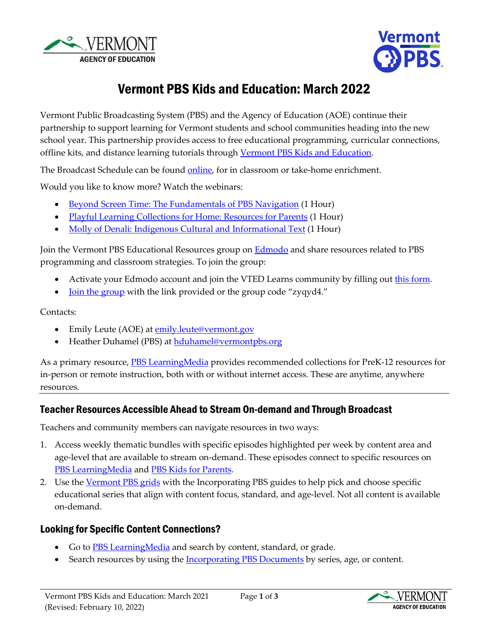



# Vermont PBS Kids and Education: March 2022

Vermont Public Broadcasting System (PBS) and the Agency of Education (AOE) continue their partnership to support learning for Vermont students and school communities heading into the new school year. This partnership provides access to free educational programming, curricular connections, offline kits, and distance learning tutorials through [Vermont PBS Kids and Education.](https://www.vermontpbs.org/distancelearning/) 

The Broadcast Schedule can be found [online,](https://www.vermontpbs.org/schedule/) for in classroom or take-home enrichment.

Would you like to know more? Watch the webinars:

- [Beyond Screen Time: The Fundamentals of PBS Navigation](https://youtu.be/vfKKLpLdAbc) (1 Hour)
- [Playful Learning Collections for Home: Resources for Parents](https://youtu.be/avGDev5tZ38) (1 Hour)
- [Molly of Denali: Indigenous Cultural and Informational Text](https://www.youtube.com/watch?v=J2vVo_6gi4Y) (1 Hour)

Join the Vermont PBS Educational Resources group on **Edmodo** and share resources related to PBS programming and classroom strategies. To join the group:

- Activate your Edmodo account and join the VTED Learns community by filling out [this form.](https://bit.ly/EdmodoVermontAOE)
- <u>[Join the group](https://new.edmodo.com/joincg/zyqyd4)</u> with the link provided or the group code "zyqyd4."

Contacts:

- Emily Leute (AOE) at **emily**.leute@vermont.gov
- Heather Duhamel (PBS) a[t hduhamel@vermontpbs.org](mailto:hduhamel@vermontpbs.org)

As a primary resource, **PBS LearningMedia** provides recommended collections for PreK-12 resources for in-person or remote instruction, both with or without internet access. These are anytime, anywhere resources.

# Teacher Resources Accessible Ahead to Stream On-demand and Through Broadcast

Teachers and community members can navigate resources in two ways:

- 1. Access weekly thematic bundles with specific episodes highlighted per week by content area and age-level that are available to stream on-demand. These episodes connect to specific resources o[n](https://www.pbslearningmedia.org/) [PBS LearningMedia](https://www.pbslearningmedia.org/) and [PBS Kids for Parents.](https://www.pbs.org/parents)
- 2. Use th[e Vermont PBS grids](https://www.vermontpbs.org/schedule/) with the Incorporating PBS guides to help pick and choose specific educational series that align with content focus, standard, and age-level. Not all content is available on-demand.

# Looking for Specific Content Connections?

- Go to **PBS Learning Media** and search by content, standard, or grade.
- Search resources by using the **Incorporating PBS Documents** by series, age, or content.

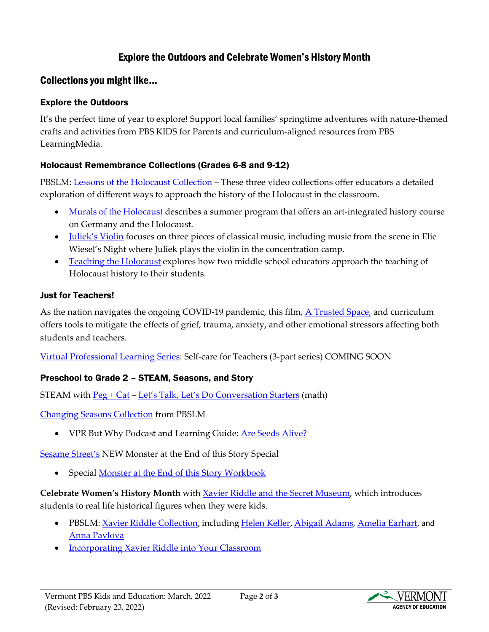# Explore the Outdoors and Celebrate Women's History Month

## Collections you might like...

#### Explore the Outdoors

It's the perfect time of year to explore! Support local families' springtime adventures with nature-themed crafts and activities from PBS KIDS for Parents and curriculum-aligned resources from PBS LearningMedia.

#### Holocaust Remembrance Collections (Grades 6-8 and 9-12)

PBSLM: [Lessons of the Holocaust Collection](https://vermont.pbslearningmedia.org/collection/lessons-of-the-holocaust/) – These three video collections offer educators a detailed exploration of different ways to approach the history of the Holocaust in the classroom.

- [Murals of the Holocaust](https://vermont.pbslearningmedia.org/collection/murals-of-the-holocaust/) describes a summer program that offers an art-integrated history course on Germany and the Holocaust.
- <u>Juliek's Violin</u> focuses on three pieces of classical music, including music from the scene in Elie Wiesel's Night where Juliek plays the violin in the concentration camp.
- [Teaching the Holocaust](https://vermont.pbslearningmedia.org/collection/teaching-the-holocaust/) explores how two middle school educators approach the teaching of Holocaust history to their students.

#### Just for Teachers!

As the nation navigates the ongoing COVID-19 pandemic, this film, [A Trusted Space,](https://vermont.pbslearningmedia.org/resource/ts20-a-trusted-space-video/a-trusted-space/) and curriculum offers tools to mitigate the effects of grief, trauma, anxiety, and other emotional stressors affecting both students and teachers.

[Virtual Professional Learning Series:](https://vermont.pbslearningmedia.org/collection/virtual-professional-learning-series-collection/) Self-care for Teachers (3-part series) COMING SOON

#### Preschool to Grade 2 – STEAM, Seasons, and Story

STEAM with [Peg + Cat](https://vermont.pbslearningmedia.org/collection/peg-cat/) – [Let's Talk, Let's Do Conversation Starters](https://vermont.pbslearningmedia.org/resource/media-integration-document-conver-cards-pegcat/activity-starters-peg-cat-activity-conversation-cards-pbs-kids/) (math)

[Changing Seasons Collection](https://vermont.pbslearningmedia.org/collection/changing-seasons/) from PBSLM

• VPR But Why Podcast and Learning Guide: Are Seeds Alive?

[Sesame Street's](https://vermont.pbslearningmedia.org/collection/sesame_street/) NEW Monster at the End of this Story Special

• Special Monster at the End of this Story Workbook

**Celebrate Women's History Month** with [Xavier Riddle and the Secret Museum,](https://pbskids.org/xavier) which introduces students to real life historical figures when they were kids.

- PBSLM: [Xavier Riddle Collection](https://vermont.pbslearningmedia.org/collection/xavier-riddle-and-the-secret-museum/), including [Helen Keller](https://vermont.pbslearningmedia.org/resource/helen-keller-media-gallery/xavier-riddle-and-the-secret-museum/), [Abigail Adams,](https://vermont.pbslearningmedia.org/resource/abigail-adams-document/xavier-riddle-and-the-secret-museum/) [Amelia Earhart](https://vermont.pbslearningmedia.org/resource/amelia-earhart-document/xavier-riddle-and-the-secret-museum/), and [Anna Pavlova](https://vermont.pbslearningmedia.org/resource/anna-pavlova-document/xavier-riddle-and-the-secret-museum/)
- [Incorporating Xavier Riddle into Your Classroom](https://education.vermont.gov/documents/edu-incorporating-xavier-riddle-and-the-secret-museum-into-your-classroom)